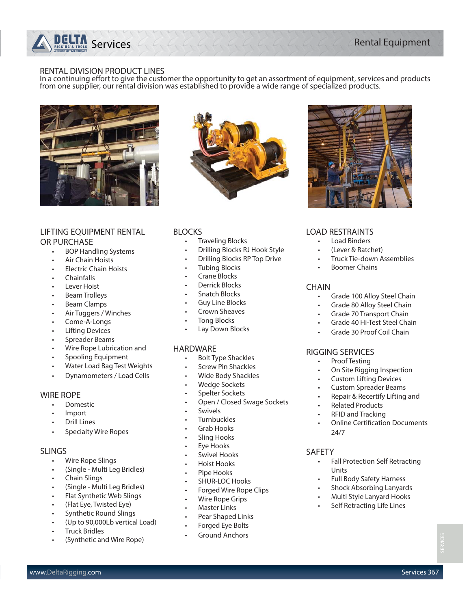## $\Gamma$  Services  $C, C, C, C, C, C, C, C, C, C, C, C, C, C, C$

#### RENTAL DIVISION PRODUCT LINES

In a continuing effort to give the customer the opportunity to get an assortment of equipment, services and products<br>from one supplier, our rental division was established to provide a wide range of specialized products.



#### LIFTING EQUIPMENT RENTAL OR PURCHASE

- BOP Handling Systems
- Air Chain Hoists
- Electric Chain Hoists
- Chainfalls
- Lever Hoist
- Beam Trolleys
- Beam Clamps
- Air Tuggers / Winches
- Come-A-Longs
- **Lifting Devices**
- Spreader Beams
- Wire Rope Lubrication and
- Spooling Equipment
- Water Load Bag Test Weights
- Dynamometers / Load Cells

#### WIRE ROPE

- Domestic
- Import
- Drill Lines
- Specialty Wire Ropes

#### SLINGS

- Wire Rope Slings
- (Single Multi Leg Bridles)
- Chain Slings
- (Single Multi Leg Bridles)
- Flat Synthetic Web Slings
- (Flat Eye, Twisted Eye)
- Synthetic Round Slings
- (Up to 90,000Lb vertical Load)
- Truck Bridles
- (Synthetic and Wire Rope)



#### BLOCKS

- Traveling Blocks
- Drilling Blocks RJ Hook Style
- Drilling Blocks RP Top Drive
- Tubing Blocks
- Crane Blocks
- Derrick Blocks
- Snatch Blocks
- Guy Line Blocks
- Crown Sheaves
- Tong Blocks
- Lay Down Blocks

#### HARDWARE

- Bolt Type Shackles
- Screw Pin Shackles
- Wide Body Shackles
- Wedge Sockets
- Spelter Sockets
- Open / Closed Swage Sockets
- **Swivels**
- **Turnbuckles**
- Grab Hooks
- Sling Hooks
- Eye Hooks
- Swivel Hooks
- Hoist Hooks
- Pipe Hooks
- SHUR-LOC Hooks
- Forged Wire Rope Clips

www.DeltaRigging.com Services 367

- Wire Rope Grips
- **Master Links**
- Pear Shaped Links
- Forged Eye Bolts
- Ground Anchors



#### LOAD RESTRAINTS

- Load Binders
- (Lever & Ratchet)
- Truck Tie-down Assemblies
- **Boomer Chains**

#### CHAIN

- Grade 100 Alloy Steel Chain
- Grade 80 Alloy Steel Chain
- Grade 70 Transport Chain
- Grade 40 Hi-Test Steel Chain
- Grade 30 Proof Coil Chain

#### RIGGING SERVICES

- Proof Testing
- On Site Rigging Inspection
- Custom Lifting Devices
- Custom Spreader Beams
- Repair & Recertify Lifting and
- Related Products
- RFID and Tracking
- **Online Certification Documents** 24/7

#### SAFETY

- Fall Protection Self Retracting Units
- Full Body Safety Harness
- Shock Absorbing Lanyards
- Multi Style Lanyard Hooks
- **Self Retracting Life Lines**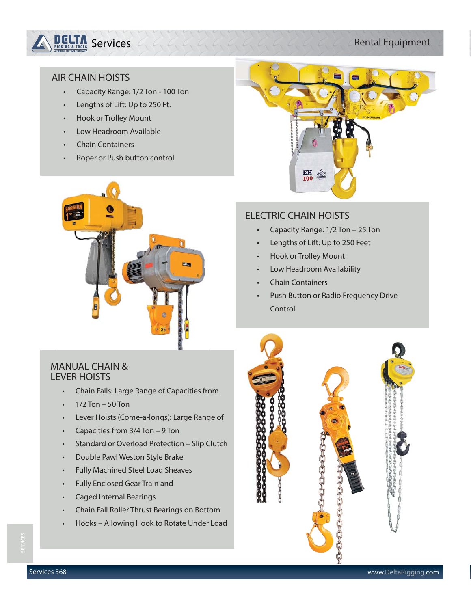

## AIR CHAIN HOISTS

- Capacity Range: 1/2 Ton 100 Ton
- Lengths of Lift: Up to 250 Ft.
- Hook or Trolley Mount
- Low Headroom Available
- Chain Containers
- Roper or Push button control





## ELECTRIC CHAIN HOISTS

- Capacity Range: 1/2 Ton 25 Ton
- Lengths of Lift: Up to 250 Feet
- Hook or Trolley Mount
- Low Headroom Availability
- Chain Containers
- Push Button or Radio Frequency Drive Control

## MANUAL CHAIN & LEVER HOISTS

- Chain Falls: Large Range of Capacities from
- $1/2$  Ton 50 Ton
- Lever Hoists (Come-a-longs): Large Range of
- Capacities from 3/4 Ton 9 Ton
- Standard or Overload Protection Slip Clutch
- Double Pawl Weston Style Brake
- Fully Machined Steel Load Sheaves
- Fully Enclosed Gear Train and
- Caged Internal Bearings
- Chain Fall Roller Thrust Bearings on Bottom
- Hooks Allowing Hook to Rotate Under Load

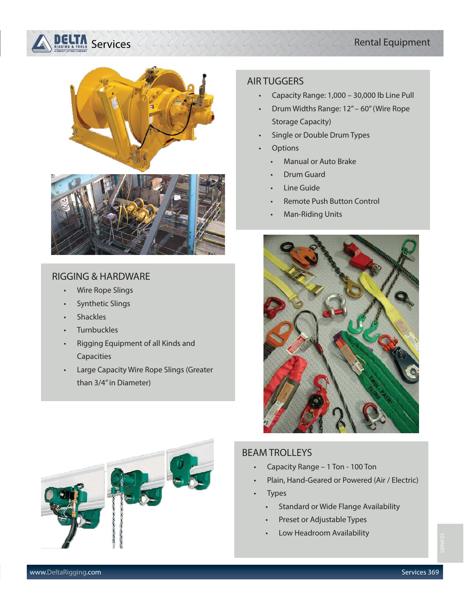## Rental Equipment

## $\blacksquare$  Services  $C, C, C, C, C, C, C, C, C, C, C, C, C, C, C, C$



#### RIGGING & HARDWARE

- Wire Rope Slings
- Synthetic Slings
- **Shackles**
- **Turnbuckles**
- Rigging Equipment of all Kinds and Capacities
- Large Capacity Wire Rope Slings (Greater than 3/4" in Diameter)

#### AIR TUGGERS

- Capacity Range: 1,000 30,000 lb Line Pull
- Drum Widths Range: 12" 60" (Wire Rope Storage Capacity)
- Single or Double Drum Types
- **Options** 
	- Manual or Auto Brake
	- Drum Guard
	- **Line Guide**
	- Remote Push Button Control
	- Man-Riding Units





## BEAM TROLLEYS

- Capacity Range 1 Ton 100 Ton
- Plain, Hand-Geared or Powered (Air / Electric)
- **Types** 
	- Standard or Wide Flange Availability
	- Preset or Adjustable Types
	- Low Headroom Availability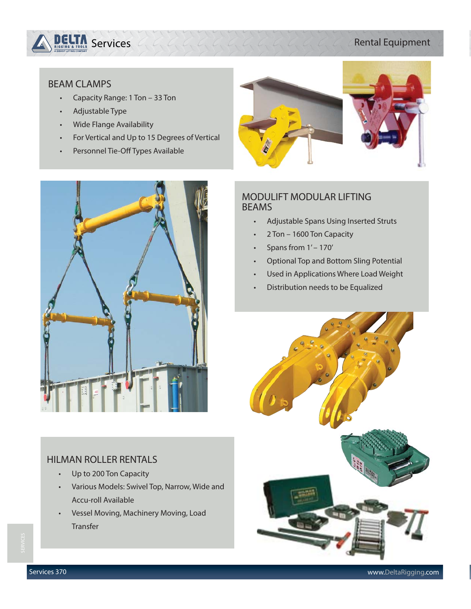

### Rental Equipment

#### BEAM CLAMPS

- Capacity Range: 1 Ton 33 Ton
- Adjustable Type
- Wide Flange Availability
- For Vertical and Up to 15 Degrees of Vertical
- Personnel Tie-Off Types Available



## HILMAN ROLLER RENTALS

- Up to 200 Ton Capacity
- Various Models: Swivel Top, Narrow, Wide and Accu-roll Available
- Vessel Moving, Machinery Moving, Load Transfer



## MODULIFT MODULAR LIFTING BEAMS

- Adjustable Spans Using Inserted Struts
- 2 Ton 1600 Ton Capacity
- Spans from 1' 170'
- Optional Top and Bottom Sling Potential
- Used in Applications Where Load Weight
- Distribution needs to be Equalized

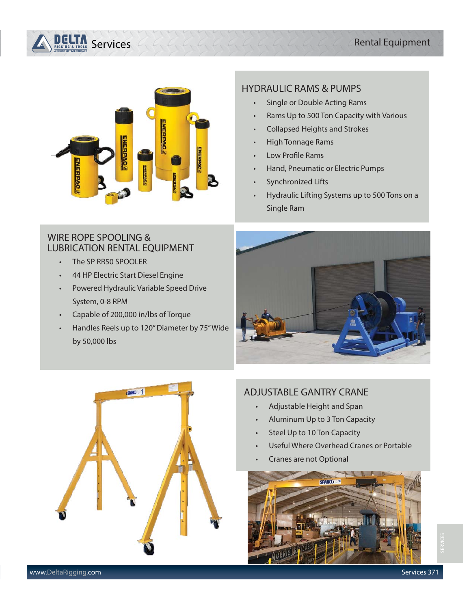### Rental Equipment

## Services



#### HYDRAULIC RAMS & PUMPS

- Single or Double Acting Rams
- Rams Up to 500 Ton Capacity with Various
- Collapsed Heights and Strokes
- High Tonnage Rams
- Low Profile Rams
- Hand, Pneumatic or Electric Pumps
- Synchronized Lifts
- Hydraulic Lifting Systems up to 500 Tons on a Single Ram

## WIRE ROPE SPOOLING & LUBRICATION RENTAL EQUIPMENT

- The SP RR50 SPOOLER
- 44 HP Electric Start Diesel Engine
- Powered Hydraulic Variable Speed Drive System, 0-8 RPM
- Capable of 200,000 in/lbs of Torque
- Handles Reels up to 120" Diameter by 75" Wide by 50,000 lbs





## ADJUSTABLE GANTRY CRANE

- Adjustable Height and Span
- Aluminum Up to 3 Ton Capacity
- Steel Up to 10 Ton Capacity
- Useful Where Overhead Cranes or Portable
- Cranes are not Optional

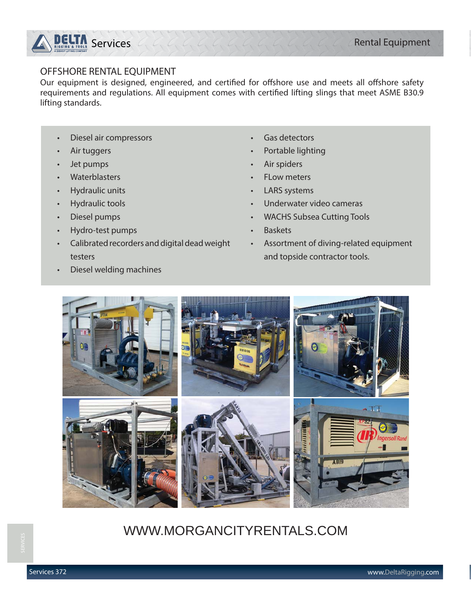

#### OFFSHORE RENTAL EQUIPMENT

Our equipment is designed, engineered, and certified for offshore use and meets all offshore safety requirements and regulations. All equipment comes with certified lifting slings that meet ASME B30.9 lifting standards.

- Diesel air compressors
- Air tuggers
- Jet pumps
- Waterblasters
- Hydraulic units
- Hydraulic tools
- Diesel pumps
- Hydro-test pumps

• Diesel welding machines

• Calibrated recorders and digital dead weight testers

- Gas detectors
- Portable lighting
- Air spiders
- **FLow meters**
- LARS systems
- Underwater video cameras
- WACHS Subsea Cutting Tools
- Baskets
- Assortment of diving-related equipment and topside contractor tools.



## WWW.MORGANCITYRENTALS.COM